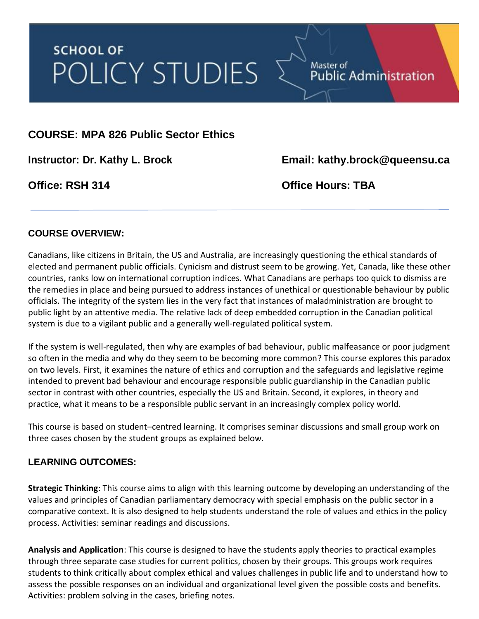# **SCHOOL OF** POLICY STUDIES

# **COURSE: MPA 826 Public Sector Ethics**

**Instructor: Dr. Kathy L. Brock Email: kathy.brock@queensu.ca**

Public Administration

**Office: RSH 314 Office Hours: TBA**

Master of

## **COURSE OVERVIEW:**

Canadians, like citizens in Britain, the US and Australia, are increasingly questioning the ethical standards of elected and permanent public officials. Cynicism and distrust seem to be growing. Yet, Canada, like these other countries, ranks low on international corruption indices. What Canadians are perhaps too quick to dismiss are the remedies in place and being pursued to address instances of unethical or questionable behaviour by public officials. The integrity of the system lies in the very fact that instances of maladministration are brought to public light by an attentive media. The relative lack of deep embedded corruption in the Canadian political system is due to a vigilant public and a generally well-regulated political system.

If the system is well-regulated, then why are examples of bad behaviour, public malfeasance or poor judgment so often in the media and why do they seem to be becoming more common? This course explores this paradox on two levels. First, it examines the nature of ethics and corruption and the safeguards and legislative regime intended to prevent bad behaviour and encourage responsible public guardianship in the Canadian public sector in contrast with other countries, especially the US and Britain. Second, it explores, in theory and practice, what it means to be a responsible public servant in an increasingly complex policy world.

This course is based on student–centred learning. It comprises seminar discussions and small group work on three cases chosen by the student groups as explained below.

## **LEARNING OUTCOMES:**

**Strategic Thinking**: This course aims to align with this learning outcome by developing an understanding of the values and principles of Canadian parliamentary democracy with special emphasis on the public sector in a comparative context. It is also designed to help students understand the role of values and ethics in the policy process. Activities: seminar readings and discussions.

**Analysis and Application**: This course is designed to have the students apply theories to practical examples through three separate case studies for current politics, chosen by their groups. This groups work requires students to think critically about complex ethical and values challenges in public life and to understand how to assess the possible responses on an individual and organizational level given the possible costs and benefits. Activities: problem solving in the cases, briefing notes.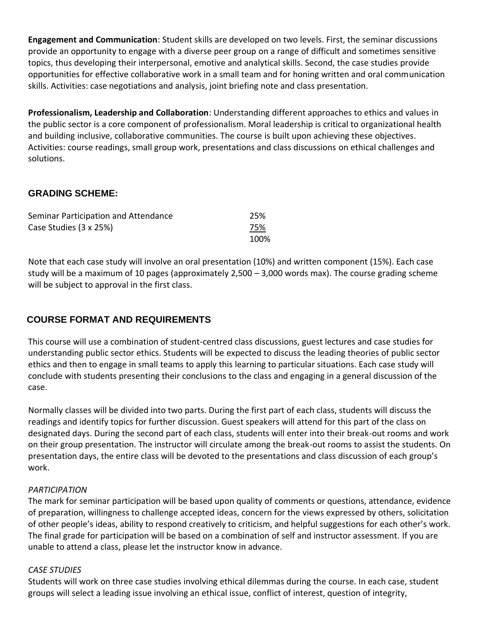**Engagement and Communication**: Student skills are developed on two levels. First, the seminar discussions provide an opportunity to engage with a diverse peer group on a range of difficult and sometimes sensitive topics, thus developing their interpersonal, emotive and analytical skills. Second, the case studies provide opportunities for effective collaborative work in a small team and for honing written and oral communication skills. Activities: case negotiations and analysis, joint briefing note and class presentation.

**Professionalism, Leadership and Collaboration**: Understanding different approaches to ethics and values in the public sector is a core component of professionalism. Moral leadership is critical to organizational health and building inclusive, collaborative communities. The course is built upon achieving these objectives. Activities: course readings, small group work, presentations and class discussions on ethical challenges and solutions.

# **GRADING SCHEME:**

| Seminar Participation and Attendance | 25%  |
|--------------------------------------|------|
| Case Studies (3 x 25%)               | 75%  |
|                                      | 100% |

Note that each case study will involve an oral presentation (10%) and written component (15%). Each case study will be a maximum of 10 pages (approximately 2,500 – 3,000 words max). The course grading scheme will be subject to approval in the first class.

# **COURSE FORMAT AND REQUIREMENTS**

This course will use a combination of student-centred class discussions, guest lectures and case studies for understanding public sector ethics. Students will be expected to discuss the leading theories of public sector ethics and then to engage in small teams to apply this learning to particular situations. Each case study will conclude with students presenting their conclusions to the class and engaging in a general discussion of the case.

Normally classes will be divided into two parts. During the first part of each class, students will discuss the readings and identify topics for further discussion. Guest speakers will attend for this part of the class on designated days. During the second part of each class, students will enter into their break-out rooms and work on their group presentation. The instructor will circulate among the break-out rooms to assist the students. On presentation days, the entire class will be devoted to the presentations and class discussion of each group's work.

#### *PARTICIPATION*

The mark for seminar participation will be based upon quality of comments or questions, attendance, evidence of preparation, willingness to challenge accepted ideas, concern for the views expressed by others, solicitation of other people's ideas, ability to respond creatively to criticism, and helpful suggestions for each other's work. The final grade for participation will be based on a combination of self and instructor assessment. If you are unable to attend a class, please let the instructor know in advance.

#### *CASE STUDIES*

Students will work on three case studies involving ethical dilemmas during the course. In each case, student groups will select a leading issue involving an ethical issue, conflict of interest, question of integrity,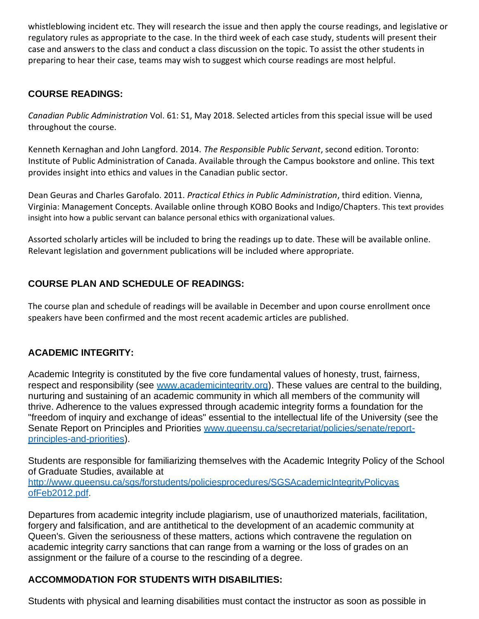whistleblowing incident etc. They will research the issue and then apply the course readings, and legislative or regulatory rules as appropriate to the case. In the third week of each case study, students will present their case and answers to the class and conduct a class discussion on the topic. To assist the other students in preparing to hear their case, teams may wish to suggest which course readings are most helpful.

# **COURSE READINGS:**

*Canadian Public Administration* Vol. 61: S1, May 2018. Selected articles from this special issue will be used throughout the course.

Kenneth Kernaghan and John Langford. 2014. *The Responsible Public Servant*, second edition. Toronto: Institute of Public Administration of Canada. Available through the Campus bookstore and online. This text provides insight into ethics and values in the Canadian public sector.

Dean Geuras and Charles Garofalo. 2011. *Practical Ethics in Public Administration*, third edition. Vienna, Virginia: Management Concepts. Available online through KOBO Books and Indigo/Chapters. This text provides insight into how a public servant can balance personal ethics with organizational values.

Assorted scholarly articles will be included to bring the readings up to date. These will be available online. Relevant legislation and government publications will be included where appropriate.

# **COURSE PLAN AND SCHEDULE OF READINGS:**

The course plan and schedule of readings will be available in December and upon course enrollment once speakers have been confirmed and the most recent academic articles are published.

## **ACADEMIC INTEGRITY:**

Academic Integrity is constituted by the five core fundamental values of honesty, trust, fairness, respect and responsibility (see [www.academicintegrity.org\)](http://www.academicintegrity.org/). These values are central to the building, nurturing and sustaining of an academic community in which all members of the community will thrive. Adherence to the values expressed through academic integrity forms a foundation for the "freedom of inquiry and exchange of ideas" essential to the intellectual life of the University (see the Senate Report on Principles and Priorities [www.queensu.ca/secretariat/policies/senate/report](http://www.queensu.ca/secretariat/policies/senate/report-principles-and-priorities)[principles-and-priorities\)](http://www.queensu.ca/secretariat/policies/senate/report-principles-and-priorities).

Students are responsible for familiarizing themselves with the Academic Integrity Policy of the School of Graduate Studies, available at [http://www.queensu.ca/sgs/forstudents/policiesprocedures/SGSAcademicIntegrityPolicyas](http://www.queensu.ca/sgs/forstudents/policiesprocedures/SGSAcademicIntegrityPolicyas%20ofFeb2012.pdf)

[ofFeb2012.pdf.](http://www.queensu.ca/sgs/forstudents/policiesprocedures/SGSAcademicIntegrityPolicyas%20ofFeb2012.pdf)

Departures from academic integrity include plagiarism, use of unauthorized materials, facilitation, forgery and falsification, and are antithetical to the development of an academic community at Queen's. Given the seriousness of these matters, actions which contravene the regulation on academic integrity carry sanctions that can range from a warning or the loss of grades on an assignment or the failure of a course to the rescinding of a degree.

## **ACCOMMODATION FOR STUDENTS WITH DISABILITIES:**

Students with physical and learning disabilities must contact the instructor as soon as possible in